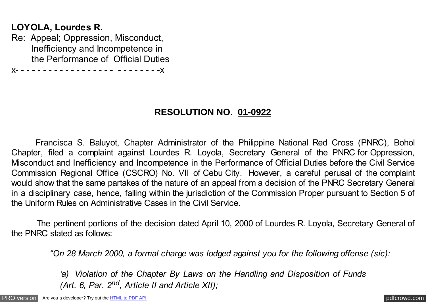## **LOYOLA, Lourdes R.**

Re: Appeal; Oppression, Misconduct, Inefficiency and Incompetence in the Performance of Official Duties

x- - - - - - - - - - - - - - - - - - - - - - - - - -x

## **RESOLUTION NO. 01-0922**

Francisca S. Baluyot, Chapter Administrator of the Philippine National Red Cross (PNRC), Bohol Chapter, filed a complaint against Lourdes R. Loyola, Secretary General of the PNRC for Oppression, Misconduct and Inefficiency and Incompetence in the Performance of Official Duties before the Civil Service Commission Regional Office (CSCRO) No. VII of Cebu City. However, a careful perusal of the complaint would show that the same partakes of the nature of an appeal from a decision of the PNRC Secretary General in a disciplinary case, hence, falling within the jurisdiction of the Commission Proper pursuant to Section 5 of the Uniform Rules on Administrative Cases in the Civil Service.

 The pertinent portions of the decision dated April 10, 2000 of Lourdes R. Loyola, Secretary General of the PNRC stated as follows:

*"On 28 March 2000, a formal charge was lodged against you for the following offense (sic):*

*'a) Violation of the Chapter By Laws on the Handling and Disposition of Funds (Art. 6, Par. 2nd, Article II and Article XII);*

[PRO version](http://pdfcrowd.com/customize/) Are you a developer? Try out th[e HTML to PDF API](http://pdfcrowd.com/html-to-pdf-api/?ref=pdf) contract the CHTML of PDF API [pdfcrowd.com](http://pdfcrowd.com)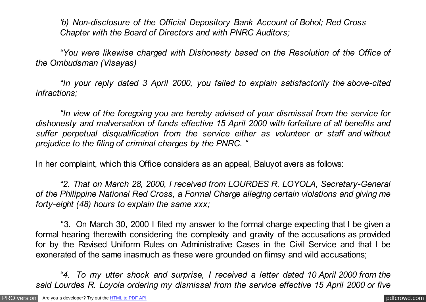*'b) Non-disclosure of the Official Depository Bank Account of Bohol; Red Cross Chapter with the Board of Directors and with PNRC Auditors;*

*"You were likewise charged with Dishonesty based on the Resolution of the Office of the Ombudsman (Visayas)*

*"In your reply dated 3 April 2000, you failed to explain satisfactorily the above-cited infractions;*

*"In view of the foregoing you are hereby advised of your dismissal from the service for dishonesty and malversation of funds effective 15 April 2000 with forfeiture of all benefits and suffer perpetual disqualification from the service either as volunteer or staff and without prejudice to the filing of criminal charges by the PNRC. "*

In her complaint, which this Office considers as an appeal, Baluyot avers as follows:

*"2. That on March 28, 2000, I received from LOURDES R. LOYOLA, Secretary-General of the Philippine National Red Cross, a Formal Charge alleging certain violations and giving me forty-eight (48) hours to explain the same xxx;*

 "3. On March 30, 2000 I filed my answer to the formal charge expecting that I be given a formal hearing therewith considering the complexity and gravity of the accusations as provided for by the Revised Uniform Rules on Administrative Cases in the Civil Service and that I be exonerated of the same inasmuch as these were grounded on flimsy and wild accusations;

*"4. To my utter shock and surprise, I received a letter dated 10 April 2000 from the said Lourdes R. Loyola ordering my dismissal from the service effective 15 April 2000 or five*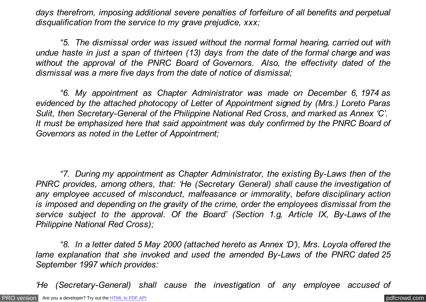*days therefrom, imposing additional severe penalties of forfeiture of all benefits and perpetual disqualification from the service to my grave prejudice, xxx;*

*"5. The dismissal order was issued without the normal formal hearing, carried out with undue haste in just a span of thirteen (13) days from the date of the formal charge and was without the approval of the PNRC Board of Governors. Also, the effectivity dated of the dismissal was a mere five days from the date of notice of dismissal;*

*"6. My appointment as Chapter Administrator was made on December 6, 1974 as evidenced by the attached photocopy of Letter of Appointment signed by (Mrs.) Loreto Paras Sulit, then Secretary-General of the Philippine National Red Cross, and marked as Annex 'C'. It must be emphasized here that said appointment was duly confirmed by the PNRC Board of Governors as noted in the Letter of Appointment;*

*"7. During my appointment as Chapter Administrator, the existing By-Laws then of the PNRC provides, among others, that: 'He (Secretary General) shall cause the investigation of any employee accused of misconduct, malfeasance or immorality, before disciplinary action is imposed and depending on the gravity of the crime, order the employees dismissal from the service subject to the approval. Of the Board' (Section 1.g, Article IX, By-Laws of the Philippine National Red Cross);*

*"8. In a letter dated 5 May 2000 (attached hereto as Annex 'D'), Mrs. Loyola offered the lame explanation that she invoked and used the amended By-Laws of the PNRC dated 25 September 1997 which provides:*

*'He (Secretary-General) shall cause the investigation of any employee accused of*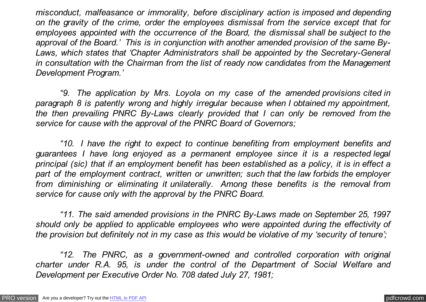*misconduct, malfeasance or immorality, before disciplinary action is imposed and depending on the gravity of the crime, order the employees dismissal from the service except that for employees appointed with the occurrence of the Board, the dismissal shall be subject to the approval of the Board.' This is in conjunction with another amended provision of the same By-Laws, which states that 'Chapter Administrators shall be appointed by the Secretary-General in consultation with the Chairman from the list of ready now candidates from the Management Development Program.'* 

*"9. The application by Mrs. Loyola on my case of the amended provisions cited in paragraph 8 is patently wrong and highly irregular because when I obtained my appointment, the then prevailing PNRC By-Laws clearly provided that I can only be removed from the service for cause with the approval of the PNRC Board of Governors;*

*"10. I have the right to expect to continue benefiting from employment benefits and guarantees I have long enjoyed as a permanent employee since it is a respected legal principal (sic) that if an employment benefit has been established as a policy, it is in effect a part of the employment contract, written or unwritten; such that the law forbids the employer from diminishing or eliminating it unilaterally. Among these benefits is the removal from service for cause only with the approval by the PNRC Board.*

*"11. The said amended provisions in the PNRC By-Laws made on September 25, 1997 should only be applied to applicable employees who were appointed during the effectivity of the provision but definitely not in my case as this would be violative of my 'security of tenure';*

*"12. The PNRC, as a government-owned and controlled corporation with original charter under R.A. 95, is under the control of the Department of Social Welfare and Development per Executive Order No. 708 dated July 27, 1981;*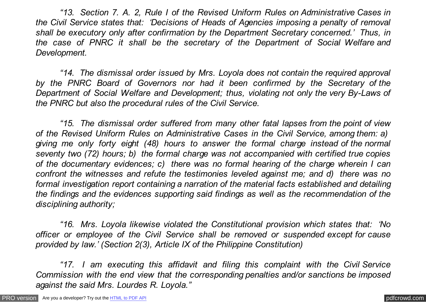*"13. Section 7. A. 2, Rule I of the Revised Uniform Rules on Administrative Cases in the Civil Service states that: 'Decisions of Heads of Agencies imposing a penalty of removal shall be executory only after confirmation by the Department Secretary concerned.' Thus, in the case of PNRC it shall be the secretary of the Department of Social Welfare and Development.*

*"14. The dismissal order issued by Mrs. Loyola does not contain the required approval by the PNRC Board of Governors nor had it been confirmed by the Secretary of the Department of Social Welfare and Development; thus, violating not only the very By-Laws of the PNRC but also the procedural rules of the Civil Service.*

*"15. The dismissal order suffered from many other fatal lapses from the point of view of the Revised Uniform Rules on Administrative Cases in the Civil Service, among them: a) giving me only forty eight (48) hours to answer the formal charge instead of the normal seventy two (72) hours; b) the formal charge was not accompanied with certified true copies of the documentary evidences; c) there was no formal hearing of the charge wherein I can confront the witnesses and refute the testimonies leveled against me; and d) there was no formal investigation report containing a narration of the material facts established and detailing the findings and the evidences supporting said findings as well as the recommendation of the disciplining authority;*

*"16. Mrs. Loyola likewise violated the Constitutional provision which states that: 'No officer or employee of the Civil Service shall be removed or suspended except for cause provided by law.' (Section 2(3), Article IX of the Philippine Constitution)*

*"17. I am executing this affidavit and filing this complaint with the Civil Service Commission with the end view that the corresponding penalties and/or sanctions be imposed against the said Mrs. Lourdes R. Loyola."*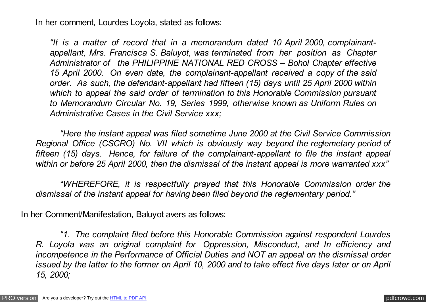In her comment, Lourdes Loyola, stated as follows:

*"It is a matter of record that in a memorandum dated 10 April 2000, complainantappellant, Mrs. Francisca S. Baluyot, was terminated from her position as Chapter Administrator of the PHILIPPINE NATIONAL RED CROSS – Bohol Chapter effective 15 April 2000. On even date, the complainant-appellant received a copy of the said order. As such, the defendant-appellant had fifteen (15) days until 25 April 2000 within which to appeal the said order of termination to this Honorable Commission pursuant to Memorandum Circular No. 19, Series 1999, otherwise known as Uniform Rules on Administrative Cases in the Civil Service xxx;*

*"Here the instant appeal was filed sometime June 2000 at the Civil Service Commission Regional Office (CSCRO) No. VII which is obviously way beyond the reglemetary period of fifteen (15) days. Hence, for failure of the complainant-appellant to file the instant appeal within or before 25 April 2000, then the dismissal of the instant appeal is more warranted xxx"*

*"WHEREFORE, it is respectfully prayed that this Honorable Commission order the dismissal of the instant appeal for having been filed beyond the reglementary period."* 

In her Comment/Manifestation, Baluyot avers as follows:

*"1. The complaint filed before this Honorable Commission against respondent Lourdes R. Loyola was an original complaint for Oppression, Misconduct, and In efficiency and incompetence in the Performance of Official Duties and NOT an appeal on the dismissal order issued by the latter to the former on April 10, 2000 and to take effect five days later or on April 15, 2000;*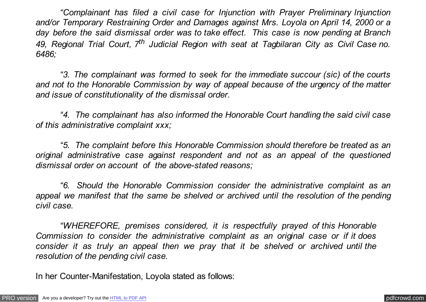*"Complainant has filed a civil case for Injunction with Prayer Preliminary Injunction and/or Temporary Restraining Order and Damages against Mrs. Loyola on April 14, 2000 or a day before the said dismissal order was to take effect. This case is now pending at Branch 49, Regional Trial Court, 7th Judicial Region with seat at Tagbilaran City as Civil Case no. 6486;*

*"3. The complainant was formed to seek for the immediate succour (sic) of the courts and not to the Honorable Commission by way of appeal because of the urgency of the matter and issue of constitutionality of the dismissal order.*

*"4. The complainant has also informed the Honorable Court handling the said civil case of this administrative complaint xxx;*

*"5. The complaint before this Honorable Commission should therefore be treated as an original administrative case against respondent and not as an appeal of the questioned dismissal order on account of the above-stated reasons;*

*"6. Should the Honorable Commission consider the administrative complaint as an appeal we manifest that the same be shelved or archived until the resolution of the pending civil case.*

*"WHEREFORE, premises considered, it is respectfully prayed of this Honorable Commission to consider the administrative complaint as an original case or if it does consider it as truly an appeal then we pray that it be shelved or archived until the resolution of the pending civil case.*

In her Counter-Manifestation, Loyola stated as follows: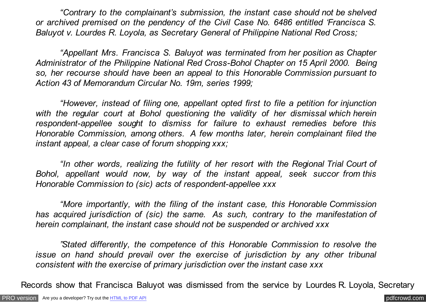*"Contrary to the complainant's submission, the instant case should not be shelved or archived premised on the pendency of the Civil Case No. 6486 entitled 'Francisca S. Baluyot v. Lourdes R. Loyola, as Secretary General of Philippine National Red Cross;*

*"Appellant Mrs. Francisca S. Baluyot was terminated from her position as Chapter Administrator of the Philippine National Red Cross-Bohol Chapter on 15 April 2000. Being so, her recourse should have been an appeal to this Honorable Commission pursuant to Action 43 of Memorandum Circular No. 19m, series 1999;*

*"However, instead of filing one, appellant opted first to file a petition for injunction with the regular court at Bohol questioning the validity of her dismissal which herein respondent-appellee sought to dismiss for failure to exhaust remedies before this Honorable Commission, among others. A few months later, herein complainant filed the instant appeal, a clear case of forum shopping xxx;*

*"In other words, realizing the futility of her resort with the Regional Trial Court of Bohol, appellant would now, by way of the instant appeal, seek succor from this Honorable Commission to (sic) acts of respondent-appellee xxx*

*"More importantly, with the filing of the instant case, this Honorable Commission has acquired jurisdiction of (sic) the same. As such, contrary to the manifestation of herein complainant, the instant case should not be suspended or archived xxx*

*"Stated differently, the competence of this Honorable Commission to resolve the issue on hand should prevail over the exercise of jurisdiction by any other tribunal consistent with the exercise of primary jurisdiction over the instant case xxx*

Records show that Francisca Baluyot was dismissed from the service by Lourdes R. Loyola, Secretary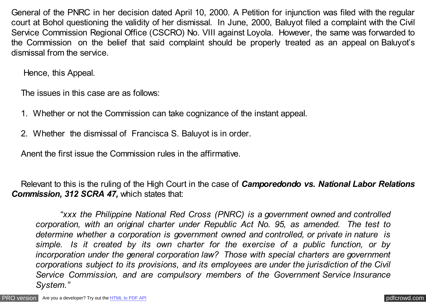General of the PNRC in her decision dated April 10, 2000. A Petition for injunction was filed with the regular court at Bohol questioning the validity of her dismissal. In June, 2000, Baluyot filed a complaint with the Civil Service Commission Regional Office (CSCRO) No. VIII against Loyola. However, the same was forwarded to the Commission on the belief that said complaint should be properly treated as an appeal on Baluyot's dismissal from the service.

Hence, this Appeal.

The issues in this case are as follows:

- 1. Whether or not the Commission can take cognizance of the instant appeal.
- 2. Whether the dismissal of Francisca S. Baluyot is in order.

Anent the first issue the Commission rules in the affirmative.

Relevant to this is the ruling of the High Court in the case of *Camporedondo vs. National Labor Relations* **Commission, 312 SCRA 47, which states that:** 

*"xxx the Philippine National Red Cross (PNRC) is a government owned and controlled corporation, with an original charter under Republic Act No. 95, as amended. The test to determine whether a corporation is government owned and controlled, or private in nature is simple. Is it created by its own charter for the exercise of a public function, or by incorporation under the general corporation law? Those with special charters are government corporations subject to its provisions, and its employees are under the jurisdiction of the Civil Service Commission, and are compulsory members of the Government Service Insurance System."*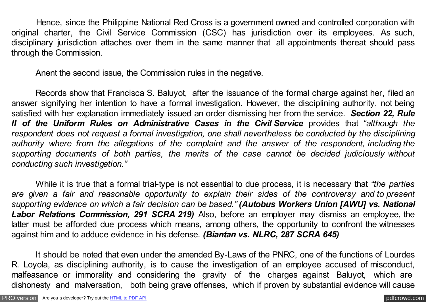Hence, since the Philippine National Red Cross is a government owned and controlled corporation with original charter, the Civil Service Commission (CSC) has jurisdiction over its employees. As such, disciplinary jurisdiction attaches over them in the same manner that all appointments thereat should pass through the Commission.

Anent the second issue, the Commission rules in the negative.

Records show that Francisca S. Baluyot, after the issuance of the formal charge against her, filed an answer signifying her intention to have a formal investigation. However, the disciplining authority, not being satisfied with her explanation immediately issued an order dismissing her from the service. *Section 22, Rule II of the Uniform Rules on Administrative Cases in the Civil Service* provides that *"although the respondent does not request a formal investigation, one shall nevertheless be conducted by the disciplining authority where from the allegations of the complaint and the answer of the respondent, including the supporting documents of both parties, the merits of the case cannot be decided judiciously without conducting such investigation."*

While it is true that a formal trial-type is not essential to due process, it is necessary that *"the parties are given a fair and reasonable opportunity to explain their sides of the controversy and to present supporting evidence on which a fair decision can be based." (Autobus Workers Union [AWU] vs. National Labor Relations Commission, 291 SCRA 219)* Also, before an employer may dismiss an employee, the latter must be afforded due process which means, among others, the opportunity to confront the witnesses against him and to adduce evidence in his defense. *(Biantan vs. NLRC, 287 SCRA 645)*

It should be noted that even under the amended By-Laws of the PNRC, one of the functions of Lourdes R. Loyola, as disciplining authority, is to cause the investigation of an employee accused of misconduct, malfeasance or immorality and considering the gravity of the charges against Baluyot, which are dishonesty and malversation, both being grave offenses, which if proven by substantial evidence will cause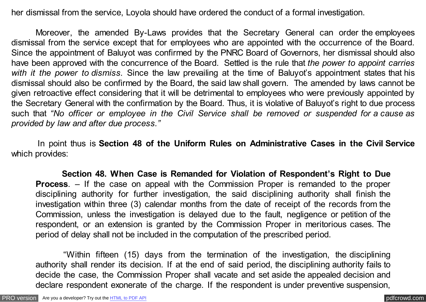her dismissal from the service, Loyola should have ordered the conduct of a formal investigation.

Moreover, the amended By-Laws provides that the Secretary General can order the employees dismissal from the service except that for employees who are appointed with the occurrence of the Board. Since the appointment of Baluyot was confirmed by the PNRC Board of Governors, her dismissal should also have been approved with the concurrence of the Board. Settled is the rule that *the power to appoint carries with it the power to dismiss.* Since the law prevailing at the time of Baluyot's appointment states that his dismissal should also be confirmed by the Board, the said law shall govern. The amended by laws cannot be given retroactive effect considering that it will be detrimental to employees who were previously appointed by the Secretary General with the confirmation by the Board. Thus, it is violative of Baluyot's right to due process such that *"No officer or employee in the Civil Service shall be removed or suspended for a cause as provided by law and after due process."*

 In point thus is **Section 48 of the Uniform Rules on Administrative Cases in the Civil Service** which provides:

 **Section 48. When Case is Remanded for Violation of Respondent's Right to Due Process**. – If the case on appeal with the Commission Proper is remanded to the proper disciplining authority for further investigation, the said disciplining authority shall finish the investigation within three (3) calendar months from the date of receipt of the records from the Commission, unless the investigation is delayed due to the fault, negligence or petition of the respondent, or an extension is granted by the Commission Proper in meritorious cases. The period of delay shall not be included in the computation of the prescribed period.

 "Within fifteen (15) days from the termination of the investigation, the disciplining authority shall render its decision. If at the end of said period, the disciplining authority fails to decide the case, the Commission Proper shall vacate and set aside the appealed decision and declare respondent exonerate of the charge. If the respondent is under preventive suspension,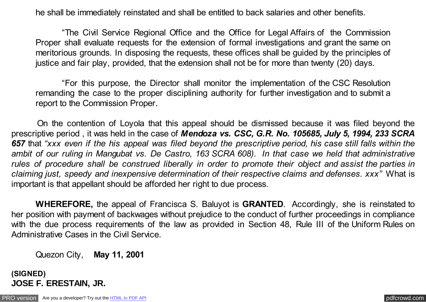he shall be immediately reinstated and shall be entitled to back salaries and other benefits.

 "The Civil Service Regional Office and the Office for Legal Affairs of the Commission Proper shall evaluate requests for the extension of formal investigations and grant the same on meritorious grounds. In disposing the requests, these offices shall be guided by the principles of justice and fair play, provided, that the extension shall not be for more than twenty (20) days.

 "For this purpose, the Director shall monitor the implementation of the CSC Resolution remanding the case to the proper disciplining authority for further investigation and to submit a report to the Commission Proper.

 On the contention of Loyola that this appeal should be dismissed because it was filed beyond the prescriptive period , it was held in the case of *Mendoza vs. CSC, G.R. No. 105685, July 5, 1994, 233 SCRA 657* that *"xxx even if the his appeal was filed beyond the prescriptive period, his case still falls within the ambit of our ruling in Mangubat vs. De Castro, 163 SCRA 608). In that case we held that administrative rules of procedure shall be construed liberally in order to promote their object and assist the parties in claiming just, speedy and inexpensive determination of their respective claims and defenses. xxx"* What is important is that appellant should be afforded her right to due process.

**WHEREFORE,** the appeal of Francisca S. Baluyot is **GRANTED**. Accordingly, she is reinstated to her position with payment of backwages without prejudice to the conduct of further proceedings in compliance with the due process requirements of the law as provided in Section 48, Rule III of the Uniform Rules on Administrative Cases in the Civil Service.

Quezon City, **May 11, 2001**

**(SIGNED) JOSE F. ERESTAIN, JR.**

[PRO version](http://pdfcrowd.com/customize/) Are you a developer? Try out th[e HTML to PDF API](http://pdfcrowd.com/html-to-pdf-api/?ref=pdf) **produces** and the extent of the ATML to PDF API [pdfcrowd.com](http://pdfcrowd.com)